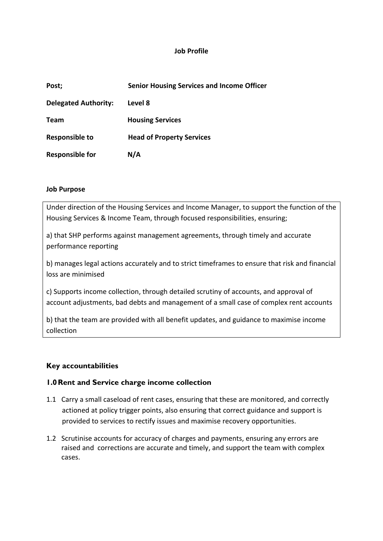#### **Job Profile**

| Post;                       | <b>Senior Housing Services and Income Officer</b> |
|-----------------------------|---------------------------------------------------|
| <b>Delegated Authority:</b> | Level 8                                           |
| Team                        | <b>Housing Services</b>                           |
| <b>Responsible to</b>       | <b>Head of Property Services</b>                  |
| <b>Responsible for</b>      | N/A                                               |

#### **Job Purpose**

Under direction of the Housing Services and Income Manager, to support the function of the Housing Services & Income Team, through focused responsibilities, ensuring;

a) that SHP performs against management agreements, through timely and accurate performance reporting

b) manages legal actions accurately and to strict timeframes to ensure that risk and financial loss are minimised

c) Supports income collection, through detailed scrutiny of accounts, and approval of account adjustments, bad debts and management of a small case of complex rent accounts

b) that the team are provided with all benefit updates, and guidance to maximise income collection

#### **Key accountabilities**

#### **1.0Rent and Service charge income collection**

- 1.1Carry a small caseload of rent cases, ensuring that these are monitored, and correctly actioned at policy trigger points, also ensuring that correct guidance and support is provided to services to rectify issues and maximise recovery opportunities.
- 1.2 Scrutinise accounts for accuracy of charges and payments, ensuring any errors are raised and corrections are accurate and timely, and support the team with complex cases.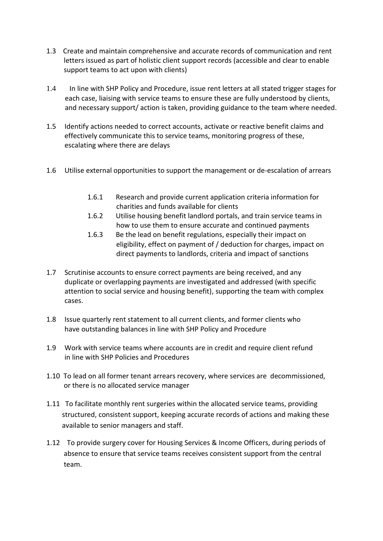- 1.3 Create and maintain comprehensive and accurate records of communication and rent letters issued as part of holistic client support records (accessible and clear to enable support teams to act upon with clients)
- 1.4 In line with SHP Policy and Procedure, issue rent letters at all stated trigger stages for each case, liaising with service teams to ensure these are fully understood by clients, and necessary support/ action is taken, providing guidance to the team where needed.
- 1.5 Identify actions needed to correct accounts, activate or reactive benefit claims and effectively communicate this to service teams, monitoring progress of these, escalating where there are delays
- 1.6 Utilise external opportunities to support the management or de-escalation of arrears
	- 1.6.1 Research and provide current application criteria information for charities and funds available for clients
	- 1.6.2 Utilise housing benefit landlord portals, and train service teams in how to use them to ensure accurate and continued payments
	- 1.6.3 Be the lead on benefit regulations, especially their impact on eligibility, effect on payment of / deduction for charges, impact on direct payments to landlords, criteria and impact of sanctions
- 1.7 Scrutinise accounts to ensure correct payments are being received, and any duplicate or overlapping payments are investigated and addressed (with specific attention to social service and housing benefit), supporting the team with complex cases.
- 1.8 Issue quarterly rent statement to all current clients, and former clients who have outstanding balances in line with SHP Policy and Procedure
- 1.9 Work with service teams where accounts are in credit and require client refund in line with SHP Policies and Procedures
- 1.10 To lead on all former tenant arrears recovery, where services are decommissioned, or there is no allocated service manager
- 1.11 To facilitate monthly rent surgeries within the allocated service teams, providing structured, consistent support, keeping accurate records of actions and making these available to senior managers and staff.
- 1.12 To provide surgery cover for Housing Services & Income Officers, during periods of absence to ensure that service teams receives consistent support from the central team.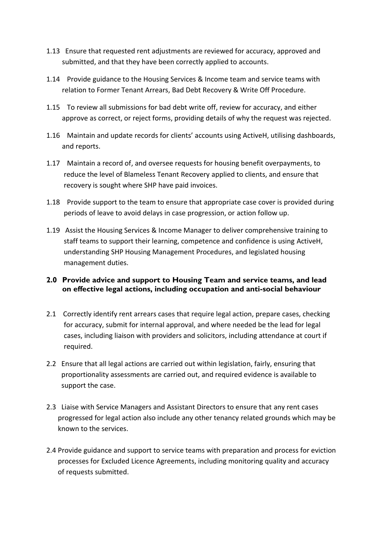- 1.13 Ensure that requested rent adjustments are reviewed for accuracy, approved and submitted, and that they have been correctly applied to accounts.
- 1.14 Provide guidance to the Housing Services & Income team and service teams with relation to Former Tenant Arrears, Bad Debt Recovery & Write Off Procedure.
- 1.15 To review all submissions for bad debt write off, review for accuracy, and either approve as correct, or reject forms, providing details of why the request was rejected.
- 1.16 Maintain and update records for clients' accounts using ActiveH, utilising dashboards, and reports.
- 1.17 Maintain a record of, and oversee requests for housing benefit overpayments, to reduce the level of Blameless Tenant Recovery applied to clients, and ensure that recovery is sought where SHP have paid invoices.
- 1.18 Provide support to the team to ensure that appropriate case cover is provided during periods of leave to avoid delays in case progression, or action follow up.
- 1.19 Assist the Housing Services & Income Manager to deliver comprehensive training to staff teams to support their learning, competence and confidence is using ActiveH, understanding SHP Housing Management Procedures, and legislated housing management duties.

# **2.0 Provide advice and support to Housing Team and service teams, and lead on effective legal actions, including occupation and anti-social behaviour**

- 2.1 Correctly identify rent arrears cases that require legal action, prepare cases, checking for accuracy, submit for internal approval, and where needed be the lead for legal cases, including liaison with providers and solicitors, including attendance at court if required.
- 2.2 Ensure that all legal actions are carried out within legislation, fairly, ensuring that proportionality assessments are carried out, and required evidence is available to support the case.
- 2.3 Liaise with Service Managers and Assistant Directors to ensure that any rent cases progressed for legal action also include any other tenancy related grounds which may be known to the services.
- 2.4 Provide guidance and support to service teams with preparation and process for eviction processes for Excluded Licence Agreements, including monitoring quality and accuracy of requests submitted.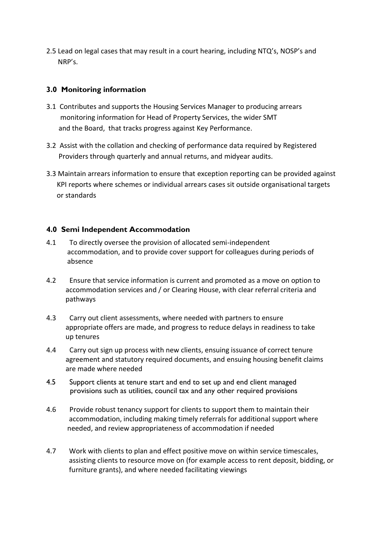2.5 Lead on legal cases that may result in a court hearing, including NTQ's, NOSP's and NRP's.

## **3.0 Monitoring information**

- 3.1 Contributes and supports the Housing Services Manager to producing arrears monitoring information for Head of Property Services, the wider SMT and the Board, that tracks progress against Key Performance.
- 3.2 Assist with the collation and checking of performance data required by Registered Providers through quarterly and annual returns, and midyear audits.
- 3.3 Maintain arrears information to ensure that exception reporting can be provided against KPI reports where schemes or individual arrears cases sit outside organisational targets or standards

## **4.0 Semi Independent Accommodation**

- 4.1 To directly oversee the provision of allocated semi-independent accommodation, and to provide cover support for colleagues during periods of absence
- 4.2 Ensure that service information is current and promoted as a move on option to accommodation services and / or Clearing House, with clear referral criteria and pathways
- 4.3 Carry out client assessments, where needed with partners to ensure appropriate offers are made, and progress to reduce delays in readiness to take up tenures
- 4.4 Carry out sign up process with new clients, ensuing issuance of correct tenure agreement and statutory required documents, and ensuing housing benefit claims are made where needed
- 4.5 Support clients at tenure start and end to set up and end client managed provisions such as utilities, council tax and any other required provisions
- 4.6 Provide robust tenancy support for clients to support them to maintain their accommodation, including making timely referrals for additional support where needed, and review appropriateness of accommodation if needed
- 4.7 Work with clients to plan and effect positive move on within service timescales, assisting clients to resource move on (for example access to rent deposit, bidding, or furniture grants), and where needed facilitating viewings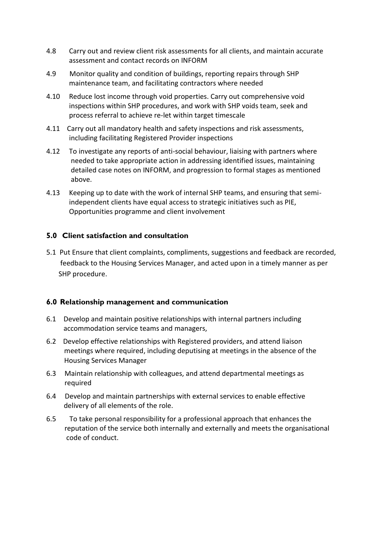- 4.8 Carry out and review client risk assessments for all clients, and maintain accurate assessment and contact records on INFORM
- 4.9 Monitor quality and condition of buildings, reporting repairs through SHP maintenance team, and facilitating contractors where needed
- 4.10 Reduce lost income through void properties. Carry out comprehensive void inspections within SHP procedures, and work with SHP voids team, seek and process referral to achieve re-let within target timescale
- 4.11 Carry out all mandatory health and safety inspections and risk assessments, including facilitating Registered Provider inspections
- 4.12 To investigate any reports of anti-social behaviour, liaising with partners where needed to take appropriate action in addressing identified issues, maintaining detailed case notes on INFORM, and progression to formal stages as mentioned above.
- 4.13 Keeping up to date with the work of internal SHP teams, and ensuring that semiindependent clients have equal access to strategic initiatives such as PIE, Opportunities programme and client involvement

# **5.0 Client satisfaction and consultation**

5.1 Put Ensure that client complaints, compliments, suggestions and feedback are recorded, feedback to the Housing Services Manager, and acted upon in a timely manner as per SHP procedure.

## **6.0 Relationship management and communication**

- 6.1 Develop and maintain positive relationships with internal partners including accommodation service teams and managers,
- 6.2 Develop effective relationships with Registered providers, and attend liaison meetings where required, including deputising at meetings in the absence of the Housing Services Manager
- 6.3 Maintain relationship with colleagues, and attend departmental meetings as required
- 6.4 Develop and maintain partnerships with external services to enable effective delivery of all elements of the role.
- 6.5 To take personal responsibility for a professional approach that enhances the reputation of the service both internally and externally and meets the organisational code of conduct.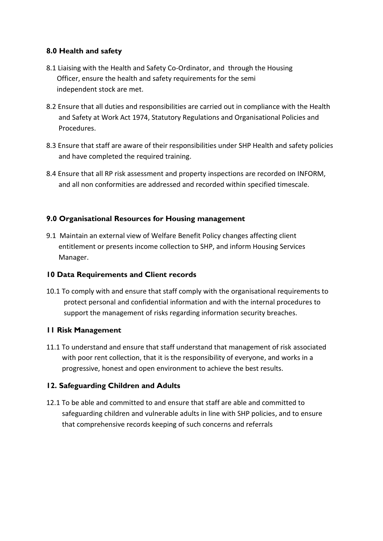# **8.0 Health and safety**

- 8.1 Liaising with the Health and Safety Co-Ordinator, and through the Housing Officer, ensure the health and safety requirements for the semi independent stock are met.
- 8.2 Ensure that all duties and responsibilities are carried out in compliance with the Health and Safety at Work Act 1974, Statutory Regulations and Organisational Policies and Procedures.
- 8.3 Ensure that staff are aware of their responsibilities under SHP Health and safety policies and have completed the required training.
- 8.4 Ensure that all RP risk assessment and property inspections are recorded on INFORM, and all non conformities are addressed and recorded within specified timescale.

# **9.0 Organisational Resources for Housing management**

9.1 Maintain an external view of Welfare Benefit Policy changes affecting client entitlement or presents income collection to SHP, and inform Housing Services Manager.

## **10 Data Requirements and Client records**

10.1 To comply with and ensure that staff comply with the organisational requirements to protect personal and confidential information and with the internal procedures to support the management of risks regarding information security breaches.

## **11 Risk Management**

11.1 To understand and ensure that staff understand that management of risk associated with poor rent collection, that it is the responsibility of everyone, and works in a progressive, honest and open environment to achieve the best results.

# **12. Safeguarding Children and Adults**

12.1 To be able and committed to and ensure that staff are able and committed to safeguarding children and vulnerable adults in line with SHP policies, and to ensure that comprehensive records keeping of such concerns and referrals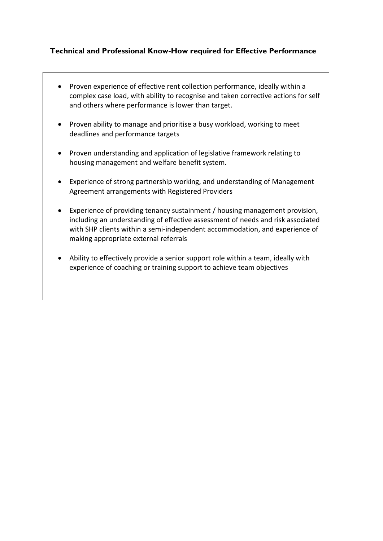# **Technical and Professional Know-How required for Effective Performance**

- Proven experience of effective rent collection performance, ideally within a complex case load, with ability to recognise and taken corrective actions for self and others where performance is lower than target.
- Proven ability to manage and prioritise a busy workload, working to meet deadlines and performance targets
- Proven understanding and application of legislative framework relating to housing management and welfare benefit system.
- Experience of strong partnership working, and understanding of Management Agreement arrangements with Registered Providers
- Experience of providing tenancy sustainment / housing management provision, including an understanding of effective assessment of needs and risk associated with SHP clients within a semi-independent accommodation, and experience of making appropriate external referrals
- Ability to effectively provide a senior support role within a team, ideally with experience of coaching or training support to achieve team objectives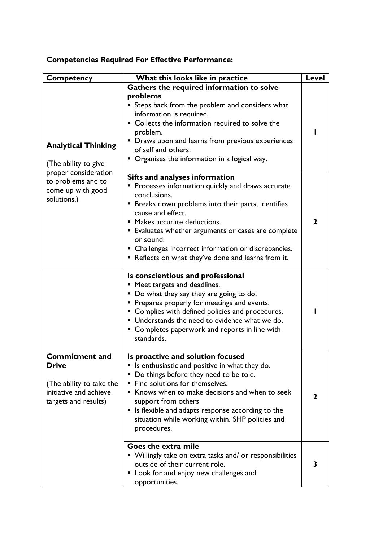# **Competencies Required For Effective Performance:**

| <b>Competency</b>                                                                                                                    | What this looks like in practice                                                                                                                                                                                                                                                                                                                                                                                | <b>Level</b> |
|--------------------------------------------------------------------------------------------------------------------------------------|-----------------------------------------------------------------------------------------------------------------------------------------------------------------------------------------------------------------------------------------------------------------------------------------------------------------------------------------------------------------------------------------------------------------|--------------|
| <b>Analytical Thinking</b><br>(The ability to give<br>proper consideration<br>to problems and to<br>come up with good<br>solutions.) | Gathers the required information to solve<br>problems<br><b>Steps back from the problem and considers what</b><br>information is required.<br>• Collects the information required to solve the<br>problem.<br>• Draws upon and learns from previous experiences<br>of self and others.<br>Organises the information in a logical way.                                                                           |              |
|                                                                                                                                      | Sifts and analyses information<br>• Processes information quickly and draws accurate<br>conclusions.<br><b>Breaks down problems into their parts, identifies</b><br>cause and effect.<br>" Makes accurate deductions.<br>• Evaluates whether arguments or cases are complete<br>or sound.<br>• Challenges incorrect information or discrepancies.<br><b>•</b> Reflects on what they've done and learns from it. | $\mathbf 2$  |
|                                                                                                                                      | Is conscientious and professional<br>" Meet targets and deadlines.<br>" Do what they say they are going to do.<br>• Prepares properly for meetings and events.<br>" Complies with defined policies and procedures.<br>• Understands the need to evidence what we do.<br>• Completes paperwork and reports in line with<br>standards.                                                                            |              |
| <b>Commitment and</b><br><b>Drive</b><br>(The ability to take the<br>initiative and achieve<br>targets and results)                  | Is proactive and solution focused<br>Is enthusiastic and positive in what they do.<br>Do things before they need to be told.<br>• Find solutions for themselves.<br>Knows when to make decisions and when to seek<br>support from others<br>• Is flexible and adapts response according to the<br>situation while working within. SHP policies and<br>procedures.                                               | $\mathbf 2$  |
|                                                                                                                                      | Goes the extra mile<br>• Willingly take on extra tasks and/ or responsibilities<br>outside of their current role.<br>• Look for and enjoy new challenges and<br>opportunities.                                                                                                                                                                                                                                  | 3            |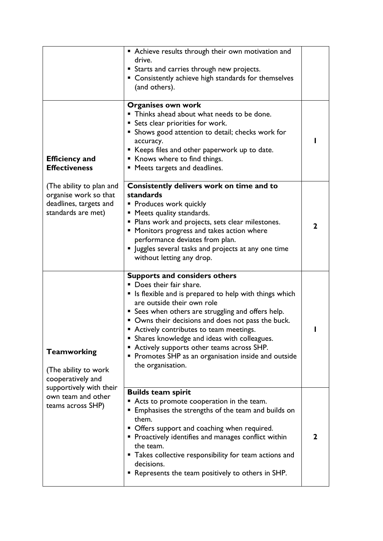|                                                                                                   | • Achieve results through their own motivation and<br>drive.<br><b>Starts and carries through new projects.</b><br>• Consistently achieve high standards for themselves<br>(and others).                                                                                                                                                                                                                                                                                                          |   |
|---------------------------------------------------------------------------------------------------|---------------------------------------------------------------------------------------------------------------------------------------------------------------------------------------------------------------------------------------------------------------------------------------------------------------------------------------------------------------------------------------------------------------------------------------------------------------------------------------------------|---|
| <b>Efficiency and</b><br><b>Effectiveness</b>                                                     | <b>Organises own work</b><br>" Thinks ahead about what needs to be done.<br>Sets clear priorities for work.<br>■ Shows good attention to detail; checks work for<br>accuracy.<br>■ Keeps files and other paperwork up to date.<br>Knows where to find things.<br>" Meets targets and deadlines.                                                                                                                                                                                                   |   |
| (The ability to plan and<br>organise work so that<br>deadlines, targets and<br>standards are met) | Consistently delivers work on time and to<br>standards<br>• Produces work quickly<br>" Meets quality standards.<br>• Plans work and projects, sets clear milestones.<br>" Monitors progress and takes action where<br>performance deviates from plan.<br>" Juggles several tasks and projects at any one time<br>without letting any drop.                                                                                                                                                        | 2 |
| <b>Teamworking</b><br>(The ability to work<br>cooperatively and                                   | <b>Supports and considers others</b><br>• Does their fair share.<br>" Is flexible and is prepared to help with things which<br>are outside their own role<br>■ Sees when others are struggling and offers help.<br>• Owns their decisions and does not pass the buck.<br>■ Actively contributes to team meetings.<br><b>Shares knowledge and ideas with colleagues.</b><br>Actively supports other teams across SHP.<br>• Promotes SHP as an organisation inside and outside<br>the organisation. |   |
| supportively with their<br>own team and other<br>teams across SHP)                                | <b>Builds team spirit</b><br>Acts to promote cooperation in the team.<br>Emphasises the strengths of the team and builds on<br>them.<br>• Offers support and coaching when required.<br>• Proactively identifies and manages conflict within<br>the team.<br>• Takes collective responsibility for team actions and<br>decisions.<br>■ Represents the team positively to others in SHP.                                                                                                           | 2 |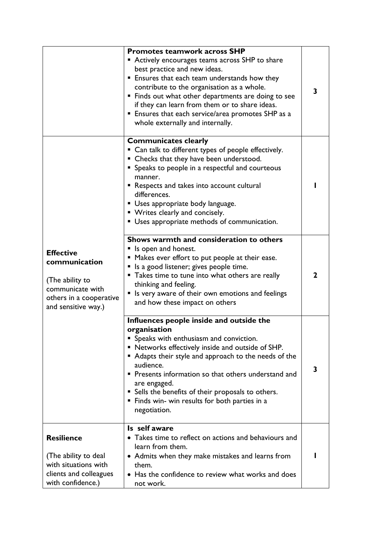|                                                                                                                            | <b>Promotes teamwork across SHP</b><br>■ Actively encourages teams across SHP to share<br>best practice and new ideas.<br><b>Ensures that each team understands how they</b><br>contribute to the organisation as a whole.<br>" Finds out what other departments are doing to see<br>if they can learn from them or to share ideas.<br><b>Ensures that each service/area promotes SHP as a</b><br>whole externally and internally. | 3 |
|----------------------------------------------------------------------------------------------------------------------------|------------------------------------------------------------------------------------------------------------------------------------------------------------------------------------------------------------------------------------------------------------------------------------------------------------------------------------------------------------------------------------------------------------------------------------|---|
|                                                                                                                            | <b>Communicates clearly</b><br>" Can talk to different types of people effectively.<br>• Checks that they have been understood.<br>• Speaks to people in a respectful and courteous<br>manner.<br>Respects and takes into account cultural<br>differences.<br>" Uses appropriate body language.<br>• Writes clearly and concisely.<br>• Uses appropriate methods of communication.                                                 |   |
| <b>Effective</b><br>communication<br>(The ability to<br>communicate with<br>others in a cooperative<br>and sensitive way.) | Shows warmth and consideration to others<br>If Is open and honest.<br>" Makes ever effort to put people at their ease.<br>" Is a good listener; gives people time.<br>Takes time to tune into what others are really<br>thinking and feeling.<br>Is very aware of their own emotions and feelings<br>٠<br>and how these impact on others                                                                                           | 2 |
|                                                                                                                            | Influences people inside and outside the<br>organisation<br>• Speaks with enthusiasm and conviction.<br>■ Networks effectively inside and outside of SHP.<br>• Adapts their style and approach to the needs of the<br>audience.<br>• Presents information so that others understand and<br>are engaged.<br>• Sells the benefits of their proposals to others.<br>■ Finds win- win results for both parties in a<br>negotiation.    | 3 |
| <b>Resilience</b><br>(The ability to deal<br>with situations with<br>clients and colleagues<br>with confidence.)           | Is self aware<br>• Takes time to reflect on actions and behaviours and<br>learn from them.<br>• Admits when they make mistakes and learns from<br>them.<br>• Has the confidence to review what works and does<br>not work.                                                                                                                                                                                                         |   |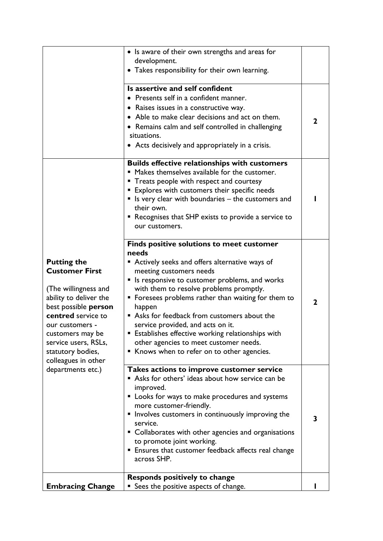| <b>Embracing Change</b>                                                                                                                                                                                                                                | Sees the positive aspects of change.                                                                                                                                                                                                                                                                                                                                                                                                                                                                                                 |              |
|--------------------------------------------------------------------------------------------------------------------------------------------------------------------------------------------------------------------------------------------------------|--------------------------------------------------------------------------------------------------------------------------------------------------------------------------------------------------------------------------------------------------------------------------------------------------------------------------------------------------------------------------------------------------------------------------------------------------------------------------------------------------------------------------------------|--------------|
| departments etc.)                                                                                                                                                                                                                                      | Takes actions to improve customer service<br>Asks for others' ideas about how service can be<br>improved.<br>Looks for ways to make procedures and systems<br>more customer-friendly.<br>Involves customers in continuously improving the<br>service.<br>• Collaborates with other agencies and organisations<br>to promote joint working.<br><b>Ensures that customer feedback affects real change</b><br>across SHP.<br><b>Responds positively to change</b>                                                                       | 3            |
| <b>Putting the</b><br><b>Customer First</b><br>(The willingness and<br>ability to deliver the<br>best possible person<br>centred service to<br>our customers -<br>customers may be<br>service users, RSLs,<br>statutory bodies,<br>colleagues in other | Finds positive solutions to meet customer<br>needs<br>• Actively seeks and offers alternative ways of<br>meeting customers needs<br>" Is responsive to customer problems, and works<br>with them to resolve problems promptly.<br>• Foresees problems rather than waiting for them to<br>happen<br>Asks for feedback from customers about the<br>service provided, and acts on it.<br><b>Establishes effective working relationships with</b><br>other agencies to meet customer needs.<br>Knows when to refer on to other agencies. | $\mathbf 2$  |
|                                                                                                                                                                                                                                                        | <b>Builds effective relationships with customers</b><br>" Makes themselves available for the customer.<br>• Treats people with respect and courtesy<br><b>Explores with customers their specific needs</b><br>■ Is very clear with boundaries – the customers and<br>their own.<br>■ Recognises that SHP exists to provide a service to<br>our customers.                                                                                                                                                                            |              |
|                                                                                                                                                                                                                                                        | Is assertive and self confident<br>• Presents self in a confident manner.<br>• Raises issues in a constructive way.<br>• Able to make clear decisions and act on them.<br>• Remains calm and self controlled in challenging<br>situations.<br>• Acts decisively and appropriately in a crisis.                                                                                                                                                                                                                                       | $\mathbf{2}$ |
|                                                                                                                                                                                                                                                        | • Is aware of their own strengths and areas for<br>development.<br>• Takes responsibility for their own learning.                                                                                                                                                                                                                                                                                                                                                                                                                    |              |